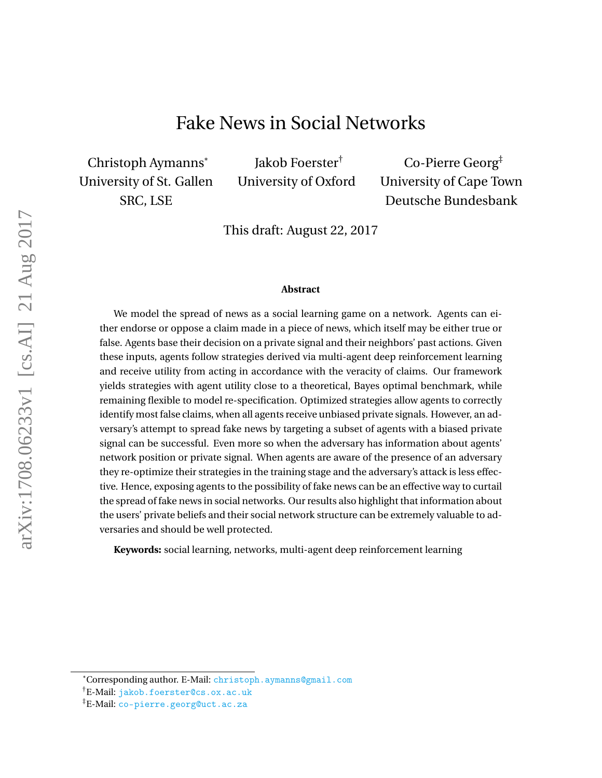## Fake News in Social Networks

<span id="page-0-0"></span>Christoph Aymanns\* University of St. Gallen SRC, LSE

Jakob Foerster† University of Oxford

Co-Pierre Georg‡ University of Cape Town Deutsche Bundesbank

This draft: August 22, 2017

#### **Abstract**

We model the spread of news as a social learning game on a network. Agents can either endorse or oppose a claim made in a piece of news, which itself may be either true or false. Agents base their decision on a private signal and their neighbors' past actions. Given these inputs, agents follow strategies derived via multi-agent deep reinforcement learning and receive utility from acting in accordance with the veracity of claims. Our framework yields strategies with agent utility close to a theoretical, Bayes optimal benchmark, while remaining flexible to model re-specification. Optimized strategies allow agents to correctly identify most false claims, when all agents receive unbiased private signals. However, an adversary's attempt to spread fake news by targeting a subset of agents with a biased private signal can be successful. Even more so when the adversary has information about agents' network position or private signal. When agents are aware of the presence of an adversary they re-optimize their strategies in the training stage and the adversary's attack is less effective. Hence, exposing agents to the possibility of fake news can be an effective way to curtail the spread of fake news in social networks. Our results also highlight that information about the users' private beliefs and their social network structure can be extremely valuable to adversaries and should be well protected.

**Keywords:** social learning, networks, multi-agent deep reinforcement learning

<sup>\*</sup>Corresponding author. E-Mail: <christoph.aymanns@gmail.com>

<sup>†</sup>E-Mail: <jakob.foerster@cs.ox.ac.uk>

<sup>‡</sup>E-Mail: <co-pierre.georg@uct.ac.za>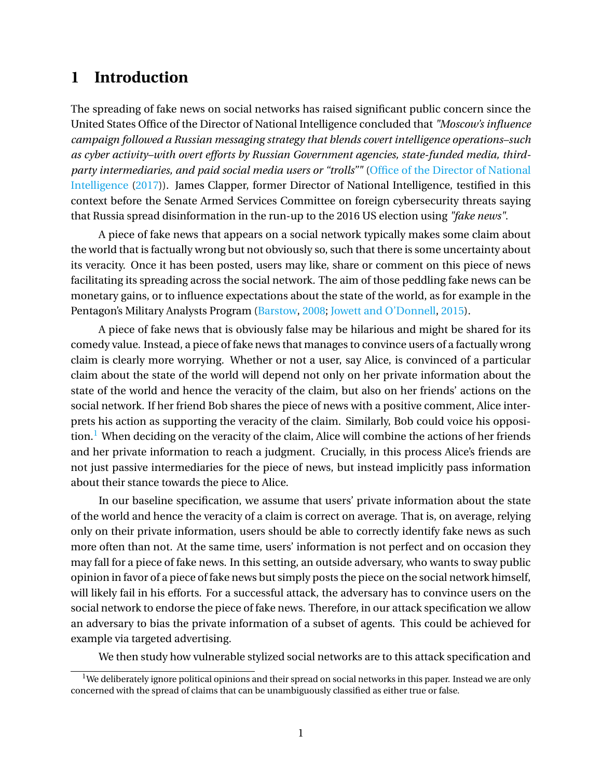### **1 Introduction**

The spreading of fake news on social networks has raised significant public concern since the United States Office of the Director of National Intelligence concluded that *"Moscow's influence campaign followed a Russian messaging strategy that blends covert intelligence operations–such as cyber activity–with overt efforts by Russian Government agencies, state-funded media, thirdparty intermediaries, and paid social media users or "trolls""* [\(Office of the Director of National](#page-12-0) [Intelligence](#page-12-0) [\(2017\)](#page-12-0)). James Clapper, former Director of National Intelligence, testified in this context before the Senate Armed Services Committee on foreign cybersecurity threats saying that Russia spread disinformation in the run-up to the 2016 US election using *"fake news"*.

A piece of fake news that appears on a social network typically makes some claim about the world that is factually wrong but not obviously so, such that there is some uncertainty about its veracity. Once it has been posted, users may like, share or comment on this piece of news facilitating its spreading across the social network. The aim of those peddling fake news can be monetary gains, or to influence expectations about the state of the world, as for example in the Pentagon's Military Analysts Program [\(Barstow,](#page-11-0) [2008;](#page-11-0) [Jowett and O'Donnell,](#page-11-1) [2015\)](#page-11-1).

A piece of fake news that is obviously false may be hilarious and might be shared for its comedy value. Instead, a piece of fake news that manages to convince users of a factually wrong claim is clearly more worrying. Whether or not a user, say Alice, is convinced of a particular claim about the state of the world will depend not only on her private information about the state of the world and hence the veracity of the claim, but also on her friends' actions on the social network. If her friend Bob shares the piece of news with a positive comment, Alice interprets his action as supporting the veracity of the claim. Similarly, Bob could voice his opposi-tion.<sup>[1](#page-0-0)</sup> When deciding on the veracity of the claim, Alice will combine the actions of her friends and her private information to reach a judgment. Crucially, in this process Alice's friends are not just passive intermediaries for the piece of news, but instead implicitly pass information about their stance towards the piece to Alice.

In our baseline specification, we assume that users' private information about the state of the world and hence the veracity of a claim is correct on average. That is, on average, relying only on their private information, users should be able to correctly identify fake news as such more often than not. At the same time, users' information is not perfect and on occasion they may fall for a piece of fake news. In this setting, an outside adversary, who wants to sway public opinion in favor of a piece of fake news but simply posts the piece on the social network himself, will likely fail in his efforts. For a successful attack, the adversary has to convince users on the social network to endorse the piece of fake news. Therefore, in our attack specification we allow an adversary to bias the private information of a subset of agents. This could be achieved for example via targeted advertising.

We then study how vulnerable stylized social networks are to this attack specification and

<sup>&</sup>lt;sup>1</sup>We deliberately ignore political opinions and their spread on social networks in this paper. Instead we are only concerned with the spread of claims that can be unambiguously classified as either true or false.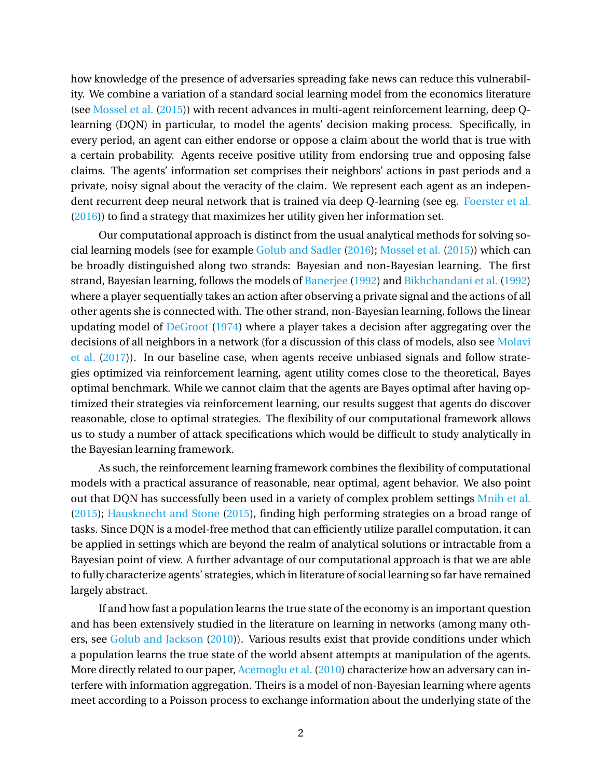how knowledge of the presence of adversaries spreading fake news can reduce this vulnerability. We combine a variation of a standard social learning model from the economics literature (see [Mossel et al.](#page-12-1) [\(2015\)](#page-12-1)) with recent advances in multi-agent reinforcement learning, deep Qlearning (DQN) in particular, to model the agents' decision making process. Specifically, in every period, an agent can either endorse or oppose a claim about the world that is true with a certain probability. Agents receive positive utility from endorsing true and opposing false claims. The agents' information set comprises their neighbors' actions in past periods and a private, noisy signal about the veracity of the claim. We represent each agent as an independent recurrent deep neural network that is trained via deep Q-learning (see eg. [Foerster et al.](#page-11-2) [\(2016\)](#page-11-2)) to find a strategy that maximizes her utility given her information set.

Our computational approach is distinct from the usual analytical methods for solving social learning models (see for example [Golub and Sadler](#page-11-3) [\(2016\)](#page-11-3); [Mossel et al.](#page-12-1) [\(2015\)](#page-12-1)) which can be broadly distinguished along two strands: Bayesian and non-Bayesian learning. The first strand, Bayesian learning, follows the models of [Banerjee](#page-11-4) [\(1992\)](#page-11-4) and [Bikhchandani et al.](#page-11-5) [\(1992\)](#page-11-5) where a player sequentially takes an action after observing a private signal and the actions of all other agents she is connected with. The other strand, non-Bayesian learning, follows the linear updating model of [DeGroot](#page-11-6) [\(1974\)](#page-11-6) where a player takes a decision after aggregating over the decisions of all neighbors in a network (for a discussion of this class of models, also see [Molavi](#page-12-2) [et al.](#page-12-2) [\(2017\)](#page-12-2)). In our baseline case, when agents receive unbiased signals and follow strategies optimized via reinforcement learning, agent utility comes close to the theoretical, Bayes optimal benchmark. While we cannot claim that the agents are Bayes optimal after having optimized their strategies via reinforcement learning, our results suggest that agents do discover reasonable, close to optimal strategies. The flexibility of our computational framework allows us to study a number of attack specifications which would be difficult to study analytically in the Bayesian learning framework.

As such, the reinforcement learning framework combines the flexibility of computational models with a practical assurance of reasonable, near optimal, agent behavior. We also point out that DQN has successfully been used in a variety of complex problem settings [Mnih et al.](#page-11-7) [\(2015\)](#page-11-7); [Hausknecht and Stone](#page-11-8) [\(2015\)](#page-11-8), finding high performing strategies on a broad range of tasks. Since DQN is a model-free method that can efficiently utilize parallel computation, it can be applied in settings which are beyond the realm of analytical solutions or intractable from a Bayesian point of view. A further advantage of our computational approach is that we are able to fully characterize agents' strategies, which in literature of social learning so far have remained largely abstract.

If and how fast a population learns the true state of the economy is an important question and has been extensively studied in the literature on learning in networks (among many others, see [Golub and Jackson](#page-11-9) [\(2010\)](#page-11-9)). Various results exist that provide conditions under which a population learns the true state of the world absent attempts at manipulation of the agents. More directly related to our paper, [Acemoglu et al.](#page-11-10) [\(2010\)](#page-11-10) characterize how an adversary can interfere with information aggregation. Theirs is a model of non-Bayesian learning where agents meet according to a Poisson process to exchange information about the underlying state of the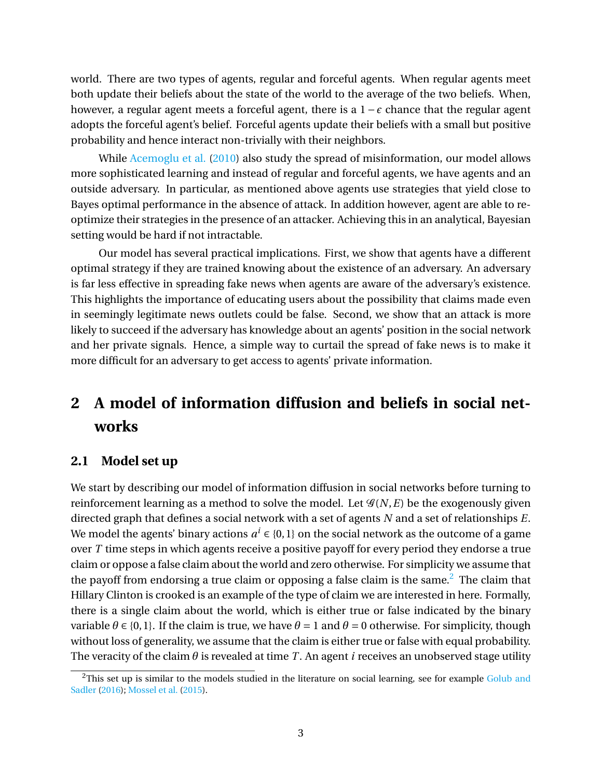world. There are two types of agents, regular and forceful agents. When regular agents meet both update their beliefs about the state of the world to the average of the two beliefs. When, however, a regular agent meets a forceful agent, there is a  $1 - \epsilon$  chance that the regular agent adopts the forceful agent's belief. Forceful agents update their beliefs with a small but positive probability and hence interact non-trivially with their neighbors.

While [Acemoglu et al.](#page-11-10) [\(2010\)](#page-11-10) also study the spread of misinformation, our model allows more sophisticated learning and instead of regular and forceful agents, we have agents and an outside adversary. In particular, as mentioned above agents use strategies that yield close to Bayes optimal performance in the absence of attack. In addition however, agent are able to reoptimize their strategies in the presence of an attacker. Achieving this in an analytical, Bayesian setting would be hard if not intractable.

Our model has several practical implications. First, we show that agents have a different optimal strategy if they are trained knowing about the existence of an adversary. An adversary is far less effective in spreading fake news when agents are aware of the adversary's existence. This highlights the importance of educating users about the possibility that claims made even in seemingly legitimate news outlets could be false. Second, we show that an attack is more likely to succeed if the adversary has knowledge about an agents' position in the social network and her private signals. Hence, a simple way to curtail the spread of fake news is to make it more difficult for an adversary to get access to agents' private information.

# **2 A model of information diffusion and beliefs in social networks**

### **2.1 Model set up**

We start by describing our model of information diffusion in social networks before turning to reinforcement learning as a method to solve the model. Let  $\mathcal{G}(N,E)$  be the exogenously given directed graph that defines a social network with a set of agents *N* and a set of relationships *E*. We model the agents' binary actions  $a^i \in \{0,1\}$  on the social network as the outcome of a game over *T* time steps in which agents receive a positive payoff for every period they endorse a true claim or oppose a false claim about the world and zero otherwise. For simplicity we assume that the payoff from endorsing a true claim or opposing a false claim is the same.<sup>[2](#page-0-0)</sup> The claim that Hillary Clinton is crooked is an example of the type of claim we are interested in here. Formally, there is a single claim about the world, which is either true or false indicated by the binary variable  $\theta \in \{0, 1\}$ . If the claim is true, we have  $\theta = 1$  and  $\theta = 0$  otherwise. For simplicity, though without loss of generality, we assume that the claim is either true or false with equal probability. The veracity of the claim  $\theta$  is revealed at time *T*. An agent *i* receives an unobserved stage utility

<sup>&</sup>lt;sup>2</sup>This set up is similar to the models studied in the literature on social learning, see for example [Golub and](#page-11-3) [Sadler](#page-11-3) [\(2016\)](#page-11-3); [Mossel et al.](#page-12-1) [\(2015\)](#page-12-1).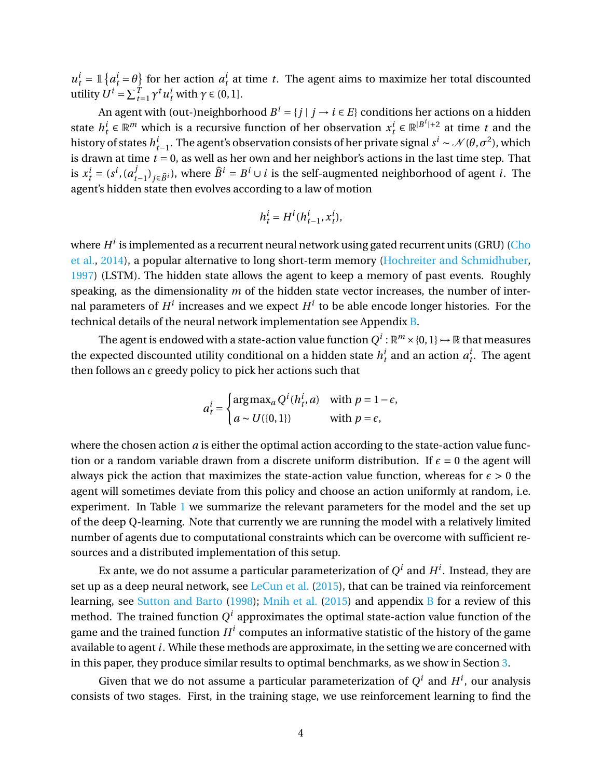$u_t^i = \mathbb{1} \{ a_t^i = \theta \}$  for her action  $a_t^i$  at time *t*. The agent aims to maximize her total discounted utility  $U^i = \sum_{t=1}^T \gamma^t u_t^i$  with  $\gamma \in (0, 1]$ .

An agent with (out-)neighborhood  $B^i = \{j \mid j \rightarrow i \in E\}$  conditions her actions on a hidden state  $h_t^i \in \mathbb{R}^m$  which is a recursive function of her observation  $x_t^i \in \mathbb{R}^{|B^i|+2}$  at time *t* and the history of states  $h_{t-1}^i$ . The agent's observation consists of her private signal  $s^i \sim \mathcal{N}(\theta,\sigma^2)$ , which is drawn at time *t* = 0, as well as her own and her neighbor's actions in the last time step. That is  $x_t^i = (s^i, (a_t^j))$  $(t_{t-1})_{j \in \widehat{B}}$ <sup>*i*</sup>), where  $\widehat{B}^i = B^i \cup i$  is the self-augmented neighborhood of agent *i*. The agent's hidden state then evolves according to a law of motion

$$
h_t^i = H^i(h_{t-1}^i, x_t^i),
$$

where *H i* is implemented as a recurrent neural network using gated recurrent units (GRU) [\(Cho](#page-11-11) [et al.,](#page-11-11) [2014\)](#page-11-11), a popular alternative to long short-term memory [\(Hochreiter and Schmidhuber,](#page-11-12) [1997\)](#page-11-12) (LSTM). The hidden state allows the agent to keep a memory of past events. Roughly speaking, as the dimensionality *m* of the hidden state vector increases, the number of internal parameters of  $H^i$  increases and we expect  $H^i$  to be able encode longer histories. For the technical details of the neural network implementation see Appendix [B.](#page-21-0)

The agent is endowed with a state-action value function  $Q^i$  :  $\mathbb{R}^m \times \{0,1\}$   $\mapsto$   $\mathbb R$  that measures the expected discounted utility conditional on a hidden state  $h_t^i$  and an action  $a_t^i$ . The agent then follows an  $\epsilon$  greedy policy to pick her actions such that

$$
a_t^i = \begin{cases} \arg \max_a Q^i(h_t^i, a) & \text{with } p = 1 - \epsilon, \\ a & \text{with } p = \epsilon, \end{cases}
$$

where the chosen action *a* is either the optimal action according to the state-action value function or a random variable drawn from a discrete uniform distribution. If  $\epsilon = 0$  the agent will always pick the action that maximizes the state-action value function, whereas for  $\epsilon > 0$  the agent will sometimes deviate from this policy and choose an action uniformly at random, i.e. experiment. In Table [1](#page-6-0) we summarize the relevant parameters for the model and the set up of the deep Q-learning. Note that currently we are running the model with a relatively limited number of agents due to computational constraints which can be overcome with sufficient resources and a distributed implementation of this setup.

Ex ante, we do not assume a particular parameterization of  $Q^i$  and  $H^i$ . Instead, they are set up as a deep neural network, see [LeCun et al.](#page-11-13) [\(2015\)](#page-11-13), that can be trained via reinforcement learning, see [Sutton and Barto](#page-12-3) [\(1998\)](#page-12-3); [Mnih et al.](#page-11-7) [\(2015\)](#page-11-7) and appendix [B](#page-21-0) for a review of this method. The trained function  $Q^i$  approximates the optimal state-action value function of the game and the trained function  $H^i$  computes an informative statistic of the history of the game available to agent *i*. While these methods are approximate, in the setting we are concerned with in this paper, they produce similar results to optimal benchmarks, as we show in Section [3.](#page-6-1)

Given that we do not assume a particular parameterization of  $Q^i$  and  $H^i$ , our analysis consists of two stages. First, in the training stage, we use reinforcement learning to find the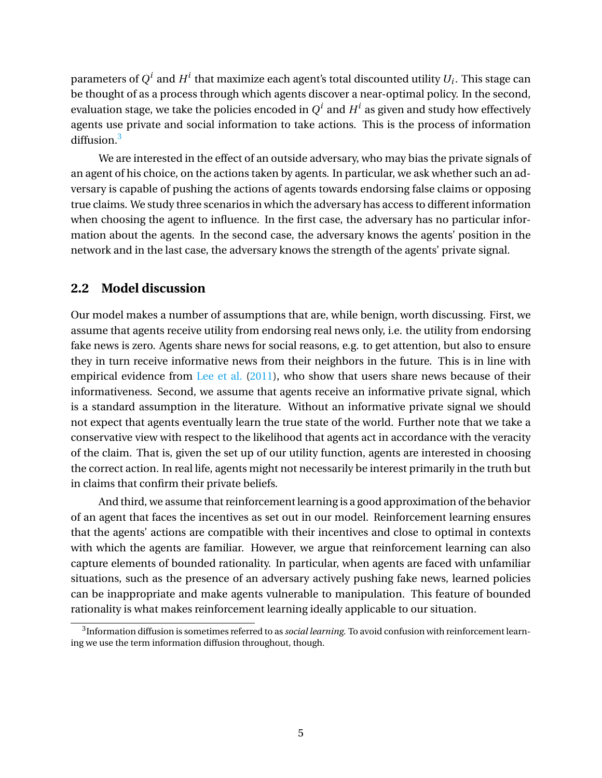parameters of  $Q^i$  and  $H^i$  that maximize each agent's total discounted utility  $U_i.$  This stage can be thought of as a process through which agents discover a near-optimal policy. In the second, evaluation stage, we take the policies encoded in  $Q^i$  and  $H^i$  as given and study how effectively agents use private and social information to take actions. This is the process of information diffusion.[3](#page-0-0)

We are interested in the effect of an outside adversary, who may bias the private signals of an agent of his choice, on the actions taken by agents. In particular, we ask whether such an adversary is capable of pushing the actions of agents towards endorsing false claims or opposing true claims. We study three scenarios in which the adversary has access to different information when choosing the agent to influence. In the first case, the adversary has no particular information about the agents. In the second case, the adversary knows the agents' position in the network and in the last case, the adversary knows the strength of the agents' private signal.

### **2.2 Model discussion**

Our model makes a number of assumptions that are, while benign, worth discussing. First, we assume that agents receive utility from endorsing real news only, i.e. the utility from endorsing fake news is zero. Agents share news for social reasons, e.g. to get attention, but also to ensure they in turn receive informative news from their neighbors in the future. This is in line with empirical evidence from [Lee et al.](#page-11-14) [\(2011\)](#page-11-14), who show that users share news because of their informativeness. Second, we assume that agents receive an informative private signal, which is a standard assumption in the literature. Without an informative private signal we should not expect that agents eventually learn the true state of the world. Further note that we take a conservative view with respect to the likelihood that agents act in accordance with the veracity of the claim. That is, given the set up of our utility function, agents are interested in choosing the correct action. In real life, agents might not necessarily be interest primarily in the truth but in claims that confirm their private beliefs.

And third, we assume that reinforcement learning is a good approximation of the behavior of an agent that faces the incentives as set out in our model. Reinforcement learning ensures that the agents' actions are compatible with their incentives and close to optimal in contexts with which the agents are familiar. However, we argue that reinforcement learning can also capture elements of bounded rationality. In particular, when agents are faced with unfamiliar situations, such as the presence of an adversary actively pushing fake news, learned policies can be inappropriate and make agents vulnerable to manipulation. This feature of bounded rationality is what makes reinforcement learning ideally applicable to our situation.

<sup>3</sup> Information diffusion is sometimes referred to as *social learning*. To avoid confusion with reinforcement learning we use the term information diffusion throughout, though.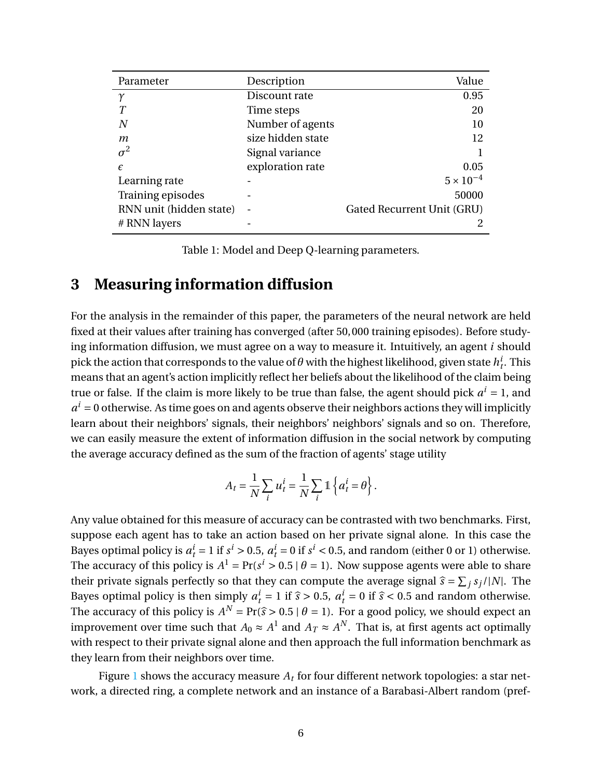<span id="page-6-0"></span>

| Parameter               | Description       | Value                      |
|-------------------------|-------------------|----------------------------|
| γ                       | Discount rate     | 0.95                       |
|                         | Time steps        | 20                         |
| Ν                       | Number of agents  | 10                         |
| m                       | size hidden state | 12                         |
|                         | Signal variance   |                            |
| $\epsilon$              | exploration rate  | 0.05                       |
| Learning rate           |                   | $5 \times 10^{-4}$         |
| Training episodes       |                   | 50000                      |
| RNN unit (hidden state) |                   | Gated Recurrent Unit (GRU) |
| # RNN layers            |                   |                            |

Table 1: Model and Deep Q-learning parameters.

### <span id="page-6-1"></span>**3 Measuring information diffusion**

For the analysis in the remainder of this paper, the parameters of the neural network are held fixed at their values after training has converged (after 50, 000 training episodes). Before studying information diffusion, we must agree on a way to measure it. Intuitively, an agent *i* should pick the action that corresponds to the value of  $\theta$  with the highest likelihood, given state  $h^i_t$ . This means that an agent's action implicitly reflect her beliefs about the likelihood of the claim being true or false. If the claim is more likely to be true than false, the agent should pick  $a^i = 1$ , and  $a^i$  = 0 otherwise. As time goes on and agents observe their neighbors actions they will implicitly learn about their neighbors' signals, their neighbors' neighbors' signals and so on. Therefore, we can easily measure the extent of information diffusion in the social network by computing the average accuracy defined as the sum of the fraction of agents' stage utility

$$
A_t = \frac{1}{N} \sum_i u_t^i = \frac{1}{N} \sum_i \mathbb{1} \left\{ a_t^i = \theta \right\}.
$$

Any value obtained for this measure of accuracy can be contrasted with two benchmarks. First, suppose each agent has to take an action based on her private signal alone. In this case the Bayes optimal policy is  $a_t^i = 1$  if  $s^i > 0.5$ ,  $a_t^i = 0$  if  $s^i < 0.5$ , and random (either 0 or 1) otherwise. The accuracy of this policy is  $A^1 = Pr(s^i > 0.5 \mid \theta = 1)$ . Now suppose agents were able to share their private signals perfectly so that they can compute the average signal  $\hat{s} = \sum_j s_j / |N|$ . The Bayes optimal policy is then simply  $a_t^i = 1$  if  $\hat{s} > 0.5$ ,  $a_t^i = 0$  if  $\hat{s} < 0.5$  and random otherwise. The accuracy of this policy is  $A^N = Pr(\hat{s} > 0.5 \mid \theta = 1)$ . For a good policy, we should expect an improvement over time such that  $A_0 \approx A^1$  and  $A_T \approx A^N$ . That is, at first agents act optimally with respect to their private signal alone and then approach the full information benchmark as they learn from their neighbors over time.

Figure [1](#page-13-0) shows the accuracy measure  $A_t$  for four different network topologies: a star network, a directed ring, a complete network and an instance of a Barabasi-Albert random (pref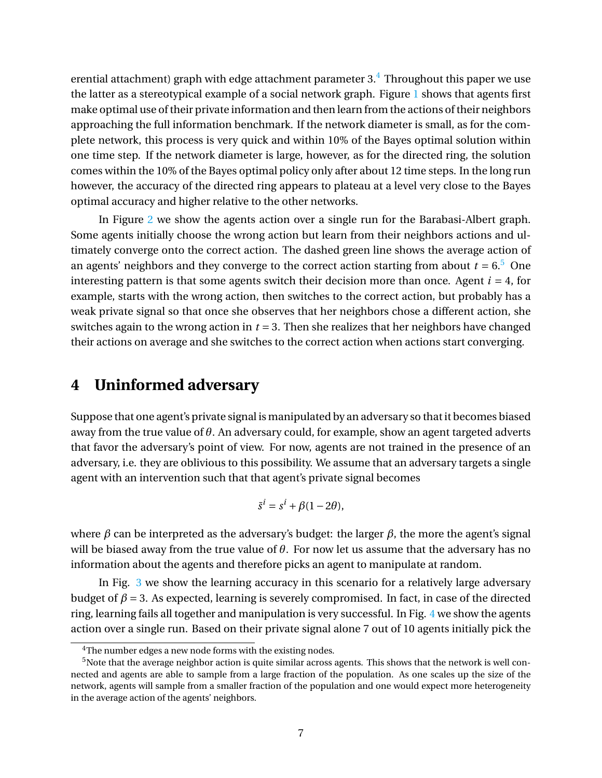erential attachment) graph with edge attachment parameter  $3<sup>4</sup>$  $3<sup>4</sup>$  $3<sup>4</sup>$ . Throughout this paper we use the latter as a stereotypical example of a social network graph. Figure [1](#page-13-0) shows that agents first make optimal use of their private information and then learn from the actions of their neighbors approaching the full information benchmark. If the network diameter is small, as for the complete network, this process is very quick and within 10% of the Bayes optimal solution within one time step. If the network diameter is large, however, as for the directed ring, the solution comes within the 10% of the Bayes optimal policy only after about 12 time steps. In the long run however, the accuracy of the directed ring appears to plateau at a level very close to the Bayes optimal accuracy and higher relative to the other networks.

In Figure [2](#page-14-0) we show the agents action over a single run for the Barabasi-Albert graph. Some agents initially choose the wrong action but learn from their neighbors actions and ultimately converge onto the correct action. The dashed green line shows the average action of an agents' neighbors and they converge to the correct action starting from about  $t = 6.5$  $t = 6.5$  One interesting pattern is that some agents switch their decision more than once. Agent  $i = 4$ , for example, starts with the wrong action, then switches to the correct action, but probably has a weak private signal so that once she observes that her neighbors chose a different action, she switches again to the wrong action in  $t = 3$ . Then she realizes that her neighbors have changed their actions on average and she switches to the correct action when actions start converging.

### <span id="page-7-0"></span>**4 Uninformed adversary**

Suppose that one agent's private signal is manipulated by an adversary so that it becomes biased away from the true value of *θ*. An adversary could, for example, show an agent targeted adverts that favor the adversary's point of view. For now, agents are not trained in the presence of an adversary, i.e. they are oblivious to this possibility. We assume that an adversary targets a single agent with an intervention such that that agent's private signal becomes

$$
\bar{s}^i = s^i + \beta(1 - 2\theta),
$$

where *β* can be interpreted as the adversary's budget: the larger *β*, the more the agent's signal will be biased away from the true value of  $\theta$ . For now let us assume that the adversary has no information about the agents and therefore picks an agent to manipulate at random.

In Fig. [3](#page-15-0) we show the learning accuracy in this scenario for a relatively large adversary budget of  $\beta$  = 3. As expected, learning is severely compromised. In fact, in case of the directed ring, learning fails all together and manipulation is very successful. In Fig. [4](#page-16-0) we show the agents action over a single run. Based on their private signal alone 7 out of 10 agents initially pick the

<sup>&</sup>lt;sup>4</sup>The number edges a new node forms with the existing nodes.

<sup>5</sup>Note that the average neighbor action is quite similar across agents. This shows that the network is well connected and agents are able to sample from a large fraction of the population. As one scales up the size of the network, agents will sample from a smaller fraction of the population and one would expect more heterogeneity in the average action of the agents' neighbors.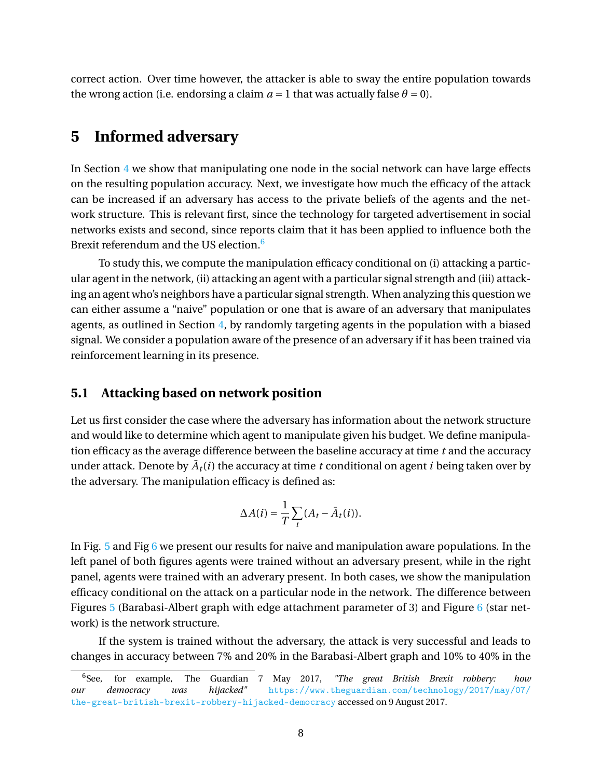correct action. Over time however, the attacker is able to sway the entire population towards the wrong action (i.e. endorsing a claim  $a = 1$  that was actually false  $\theta = 0$ ).

### **5 Informed adversary**

In Section [4](#page-7-0) we show that manipulating one node in the social network can have large effects on the resulting population accuracy. Next, we investigate how much the efficacy of the attack can be increased if an adversary has access to the private beliefs of the agents and the network structure. This is relevant first, since the technology for targeted advertisement in social networks exists and second, since reports claim that it has been applied to influence both the Brexit referendum and the US election.<sup>[6](#page-0-0)</sup>

To study this, we compute the manipulation efficacy conditional on (i) attacking a particular agent in the network, (ii) attacking an agent with a particular signal strength and (iii) attacking an agent who's neighbors have a particular signal strength. When analyzing this question we can either assume a "naive" population or one that is aware of an adversary that manipulates agents, as outlined in Section [4,](#page-7-0) by randomly targeting agents in the population with a biased signal. We consider a population aware of the presence of an adversary if it has been trained via reinforcement learning in its presence.

#### **5.1 Attacking based on network position**

Let us first consider the case where the adversary has information about the network structure and would like to determine which agent to manipulate given his budget. We define manipulation efficacy as the average difference between the baseline accuracy at time *t* and the accuracy under attack. Denote by  $\bar{A}_t(i)$  the accuracy at time  $t$  conditional on agent  $i$  being taken over by the adversary. The manipulation efficacy is defined as:

$$
\Delta A(i) = \frac{1}{T} \sum_{t} (A_t - \bar{A}_t(i)).
$$

In Fig. [5](#page-17-0) and Fig [6](#page-18-0) we present our results for naive and manipulation aware populations. In the left panel of both figures agents were trained without an adversary present, while in the right panel, agents were trained with an adverary present. In both cases, we show the manipulation efficacy conditional on the attack on a particular node in the network. The difference between Figures [5](#page-17-0) (Barabasi-Albert graph with edge attachment parameter of 3) and Figure [6](#page-18-0) (star network) is the network structure.

If the system is trained without the adversary, the attack is very successful and leads to changes in accuracy between 7% and 20% in the Barabasi-Albert graph and 10% to 40% in the

<sup>6</sup>See, for example, The Guardian 7 May 2017, *"The great British Brexit robbery: how our democracy was hijacked"* [https://www.theguardian.com/technology/2017/may/07/](https://www.theguardian.com/technology/2017/may/07/the-great-british-brexit-robbery-hijacked-democracy) [the-great-british-brexit-robbery-hijacked-democracy](https://www.theguardian.com/technology/2017/may/07/the-great-british-brexit-robbery-hijacked-democracy) accessed on 9 August 2017.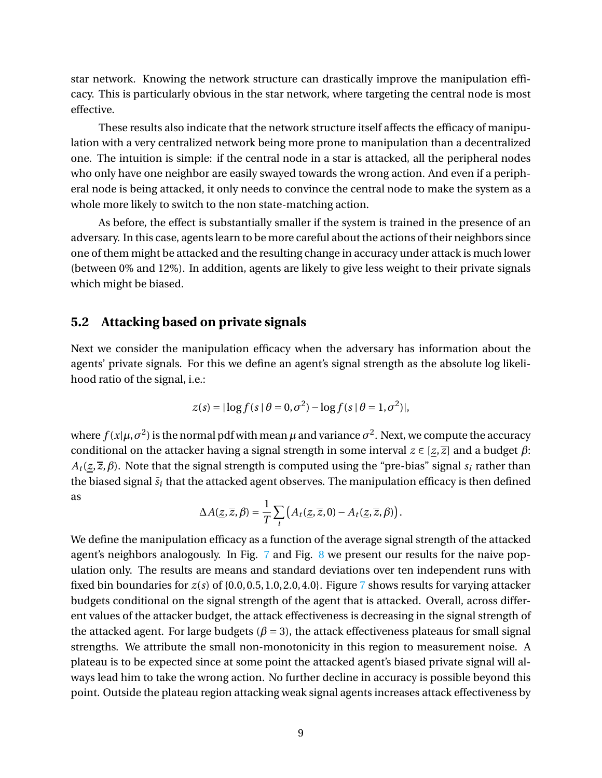star network. Knowing the network structure can drastically improve the manipulation efficacy. This is particularly obvious in the star network, where targeting the central node is most effective.

These results also indicate that the network structure itself affects the efficacy of manipulation with a very centralized network being more prone to manipulation than a decentralized one. The intuition is simple: if the central node in a star is attacked, all the peripheral nodes who only have one neighbor are easily swayed towards the wrong action. And even if a peripheral node is being attacked, it only needs to convince the central node to make the system as a whole more likely to switch to the non state-matching action.

As before, the effect is substantially smaller if the system is trained in the presence of an adversary. In this case, agents learn to be more careful about the actions of their neighbors since one of them might be attacked and the resulting change in accuracy under attack is much lower (between 0% and 12%). In addition, agents are likely to give less weight to their private signals which might be biased.

#### **5.2 Attacking based on private signals**

Next we consider the manipulation efficacy when the adversary has information about the agents' private signals. For this we define an agent's signal strength as the absolute log likelihood ratio of the signal, i.e.:

$$
z(s) = |\log f(s) | \theta = 0, \sigma^2) - \log f(s | \theta = 1, \sigma^2)|,
$$

where  $f$  ( $x|\mu,\sigma^2$ ) is the normal pdf with mean  $\mu$  and variance  $\sigma^2.$  Next, we compute the accuracy conditional on the attacker having a signal strength in some interval  $z \in [z, \overline{z}]$  and a budget  $\beta$ :  $A_t(z, \overline{z}, \beta)$ . Note that the signal strength is computed using the "pre-bias" signal  $s_i$  rather than the biased signal  $\bar{s}_i$  that the attacked agent observes. The manipulation efficacy is then defined as

$$
\Delta A(\underline{z}, \overline{z}, \beta) = \frac{1}{T} \sum_{t} \left( A_t(\underline{z}, \overline{z}, 0) - A_t(\underline{z}, \overline{z}, \beta) \right).
$$

We define the manipulation efficacy as a function of the average signal strength of the attacked agent's neighbors analogously. In Fig. [7](#page-19-0) and Fig. [8](#page-20-0) we present our results for the naive population only. The results are means and standard deviations over ten independent runs with fixed bin boundaries for *z*(*s*) of {0.0, 0.5, 1.0, 2.0, 4.0}. Figure [7](#page-19-0) shows results for varying attacker budgets conditional on the signal strength of the agent that is attacked. Overall, across different values of the attacker budget, the attack effectiveness is decreasing in the signal strength of the attacked agent. For large budgets ( $\beta$  = 3), the attack effectiveness plateaus for small signal strengths. We attribute the small non-monotonicity in this region to measurement noise. A plateau is to be expected since at some point the attacked agent's biased private signal will always lead him to take the wrong action. No further decline in accuracy is possible beyond this point. Outside the plateau region attacking weak signal agents increases attack effectiveness by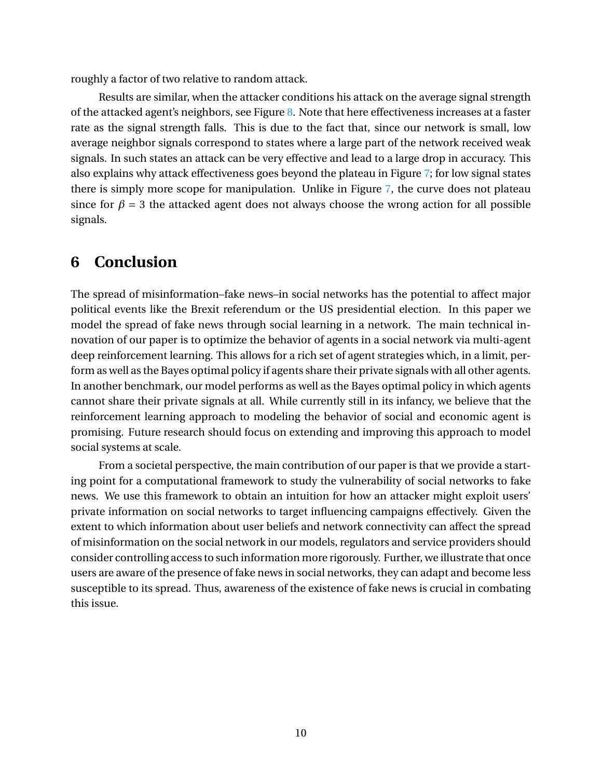roughly a factor of two relative to random attack.

Results are similar, when the attacker conditions his attack on the average signal strength of the attacked agent's neighbors, see Figure  $8$ . Note that here effectiveness increases at a faster rate as the signal strength falls. This is due to the fact that, since our network is small, low average neighbor signals correspond to states where a large part of the network received weak signals. In such states an attack can be very effective and lead to a large drop in accuracy. This also explains why attack effectiveness goes beyond the plateau in Figure [7;](#page-19-0) for low signal states there is simply more scope for manipulation. Unlike in Figure [7,](#page-19-0) the curve does not plateau since for  $\beta = 3$  the attacked agent does not always choose the wrong action for all possible signals.

### **6 Conclusion**

The spread of misinformation–fake news–in social networks has the potential to affect major political events like the Brexit referendum or the US presidential election. In this paper we model the spread of fake news through social learning in a network. The main technical innovation of our paper is to optimize the behavior of agents in a social network via multi-agent deep reinforcement learning. This allows for a rich set of agent strategies which, in a limit, perform as well as the Bayes optimal policy if agents share their private signals with all other agents. In another benchmark, our model performs as well as the Bayes optimal policy in which agents cannot share their private signals at all. While currently still in its infancy, we believe that the reinforcement learning approach to modeling the behavior of social and economic agent is promising. Future research should focus on extending and improving this approach to model social systems at scale.

From a societal perspective, the main contribution of our paper is that we provide a starting point for a computational framework to study the vulnerability of social networks to fake news. We use this framework to obtain an intuition for how an attacker might exploit users' private information on social networks to target influencing campaigns effectively. Given the extent to which information about user beliefs and network connectivity can affect the spread of misinformation on the social network in our models, regulators and service providers should consider controlling access to such information more rigorously. Further, we illustrate that once users are aware of the presence of fake news in social networks, they can adapt and become less susceptible to its spread. Thus, awareness of the existence of fake news is crucial in combating this issue.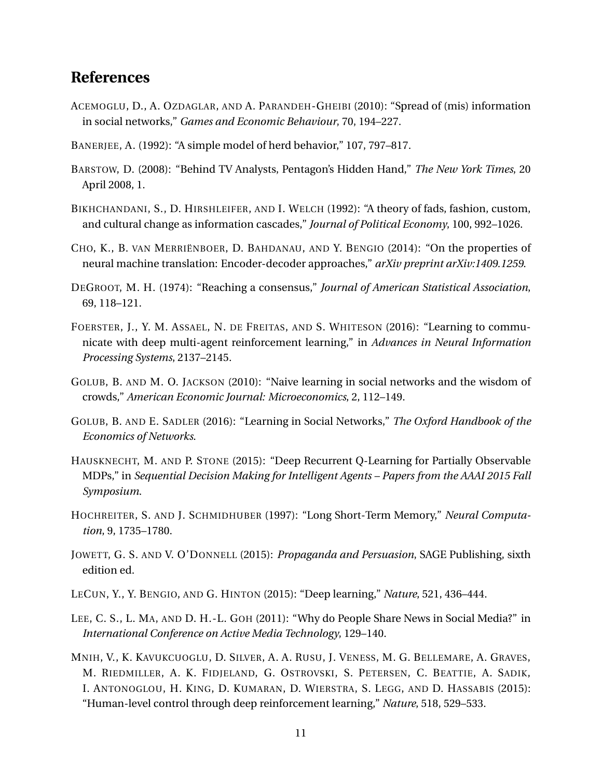### **References**

- <span id="page-11-10"></span>ACEMOGLU, D., A. OZDAGLAR, AND A. PARANDEH-GHEIBI (2010): "Spread of (mis) information in social networks," *Games and Economic Behaviour*, 70, 194–227.
- <span id="page-11-4"></span>BANERJEE, A. (1992): "A simple model of herd behavior," 107, 797–817.
- <span id="page-11-0"></span>BARSTOW, D. (2008): "Behind TV Analysts, Pentagon's Hidden Hand," *The New York Times*, 20 April 2008, 1.
- <span id="page-11-5"></span>BIKHCHANDANI, S., D. HIRSHLEIFER, AND I. WELCH (1992): "A theory of fads, fashion, custom, and cultural change as information cascades," *Journal of Political Economy*, 100, 992–1026.
- <span id="page-11-11"></span>CHO, K., B. VAN MERRIËNBOER, D. BAHDANAU, AND Y. BENGIO (2014): "On the properties of neural machine translation: Encoder-decoder approaches," *arXiv preprint arXiv:1409.1259*.
- <span id="page-11-6"></span>DEGROOT, M. H. (1974): "Reaching a consensus," *Journal of American Statistical Association*, 69, 118–121.
- <span id="page-11-2"></span>FOERSTER, J., Y. M. ASSAEL, N. DE FREITAS, AND S. WHITESON (2016): "Learning to communicate with deep multi-agent reinforcement learning," in *Advances in Neural Information Processing Systems*, 2137–2145.
- <span id="page-11-9"></span>GOLUB, B. AND M. O. JACKSON (2010): "Naive learning in social networks and the wisdom of crowds," *American Economic Journal: Microeconomics*, 2, 112–149.
- <span id="page-11-3"></span>GOLUB, B. AND E. SADLER (2016): "Learning in Social Networks," *The Oxford Handbook of the Economics of Networks*.
- <span id="page-11-8"></span>HAUSKNECHT, M. AND P. STONE (2015): "Deep Recurrent Q-Learning for Partially Observable MDPs," in *Sequential Decision Making for Intelligent Agents – Papers from the AAAI 2015 Fall Symposium*.
- <span id="page-11-12"></span>HOCHREITER, S. AND J. SCHMIDHUBER (1997): "Long Short-Term Memory," *Neural Computation*, 9, 1735–1780.
- <span id="page-11-1"></span>JOWETT, G. S. AND V. O'DONNELL (2015): *Propaganda and Persuasion*, SAGE Publishing, sixth edition ed.
- <span id="page-11-13"></span>LECUN, Y., Y. BENGIO, AND G. HINTON (2015): "Deep learning," *Nature*, 521, 436–444.
- <span id="page-11-14"></span>LEE, C. S., L. MA, AND D. H.-L. GOH (2011): "Why do People Share News in Social Media?" in *International Conference on Active Media Technology*, 129–140.
- <span id="page-11-7"></span>MNIH, V., K. KAVUKCUOGLU, D. SILVER, A. A. RUSU, J. VENESS, M. G. BELLEMARE, A. GRAVES, M. RIEDMILLER, A. K. FIDJELAND, G. OSTROVSKI, S. PETERSEN, C. BEATTIE, A. SADIK, I. ANTONOGLOU, H. KING, D. KUMARAN, D. WIERSTRA, S. LEGG, AND D. HASSABIS (2015): "Human-level control through deep reinforcement learning," *Nature*, 518, 529–533.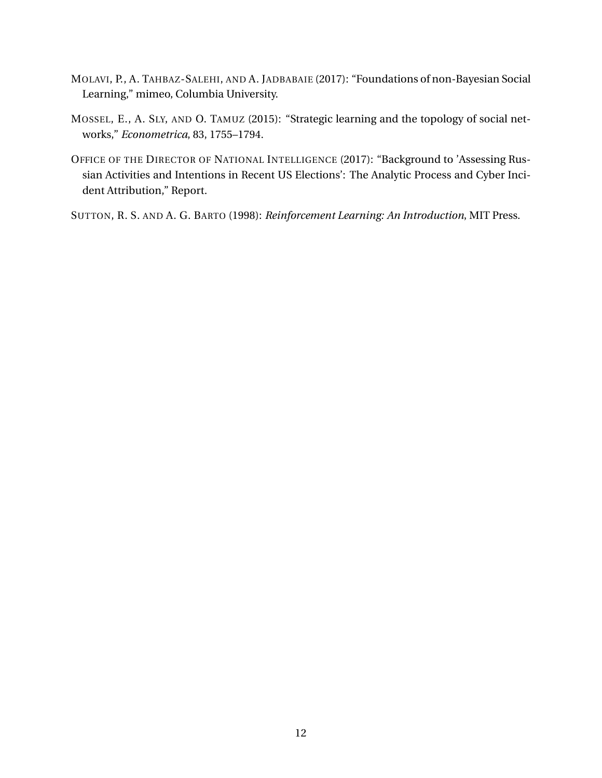- <span id="page-12-2"></span>MOLAVI, P., A. TAHBAZ-SALEHI, AND A. JADBABAIE (2017): "Foundations of non-Bayesian Social Learning," mimeo, Columbia University.
- <span id="page-12-1"></span>MOSSEL, E., A. SLY, AND O. TAMUZ (2015): "Strategic learning and the topology of social networks," *Econometrica*, 83, 1755–1794.
- <span id="page-12-0"></span>OFFICE OF THE DIRECTOR OF NATIONAL INTELLIGENCE (2017): "Background to 'Assessing Russian Activities and Intentions in Recent US Elections': The Analytic Process and Cyber Incident Attribution," Report.

<span id="page-12-3"></span>SUTTON, R. S. AND A. G. BARTO (1998): *Reinforcement Learning: An Introduction*, MIT Press.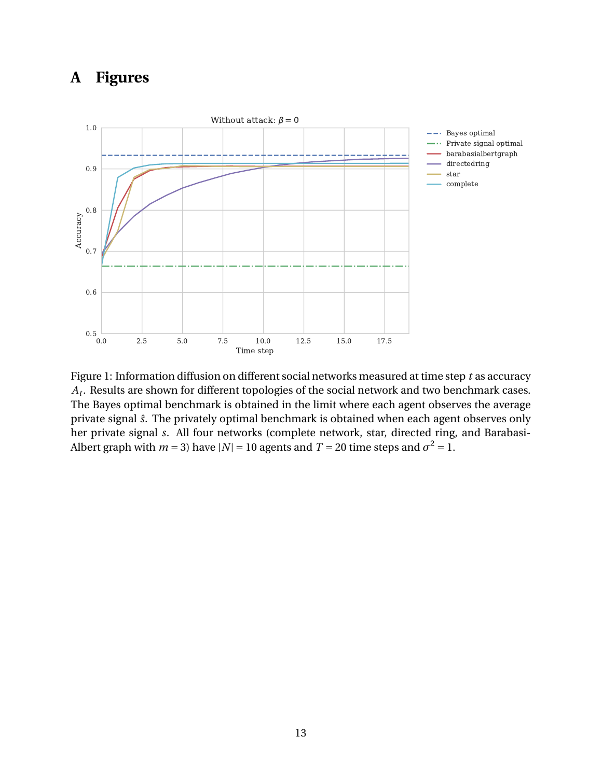## **A Figures**

<span id="page-13-0"></span>

Figure 1: Information diffusion on different social networks measured at time step *t* as accuracy *At* . Results are shown for different topologies of the social network and two benchmark cases. The Bayes optimal benchmark is obtained in the limit where each agent observes the average private signal  $\hat{s}$ . The privately optimal benchmark is obtained when each agent observes only her private signal *s*. All four networks (complete network, star, directed ring, and Barabasi-Albert graph with  $m = 3$ ) have  $|N| = 10$  agents and  $T = 20$  time steps and  $\sigma^2 = 1$ .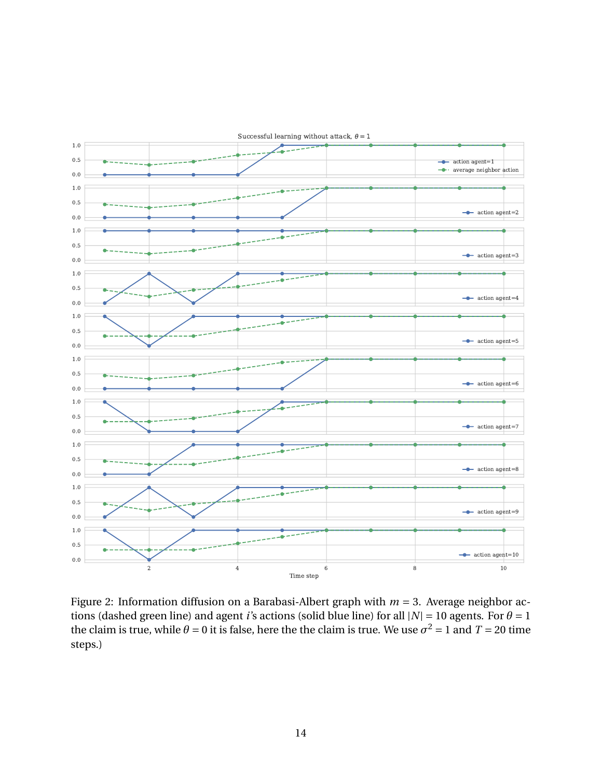<span id="page-14-0"></span>

Figure 2: Information diffusion on a Barabasi-Albert graph with *m* = 3. Average neighbor actions (dashed green line) and agent *i*'s actions (solid blue line) for all  $|N| = 10$  agents. For  $\theta = 1$ the claim is true, while  $\theta = 0$  it is false, here the the claim is true. We use  $\sigma^2 = 1$  and  $T = 20$  time steps.)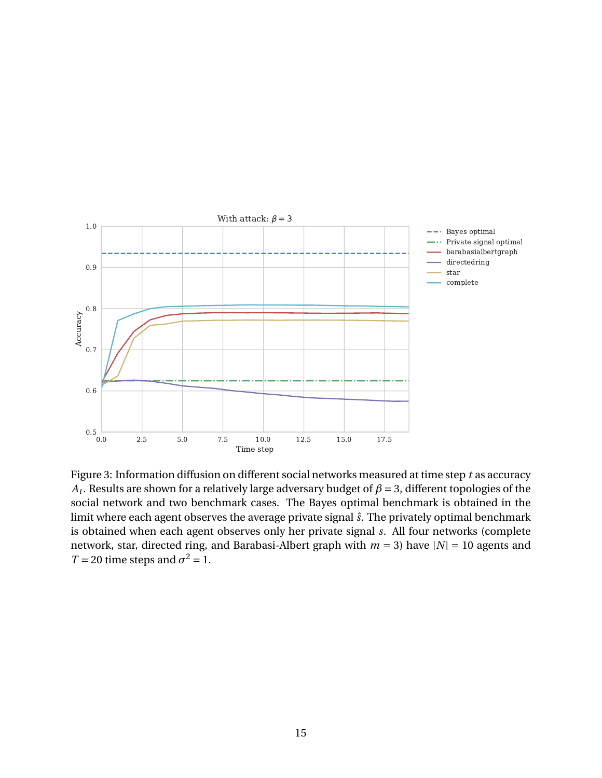<span id="page-15-0"></span>

Figure 3: Information diffusion on different social networks measured at time step *t* as accuracy  $A_t$ . Results are shown for a relatively large adversary budget of  $\beta$  = 3, different topologies of the social network and two benchmark cases. The Bayes optimal benchmark is obtained in the limit where each agent observes the average private signal  $\hat{s}$ . The privately optimal benchmark is obtained when each agent observes only her private signal *s*. All four networks (complete network, star, directed ring, and Barabasi-Albert graph with  $m = 3$ ) have  $|N| = 10$  agents and *T* = 20 time steps and  $\sigma^2$  = 1.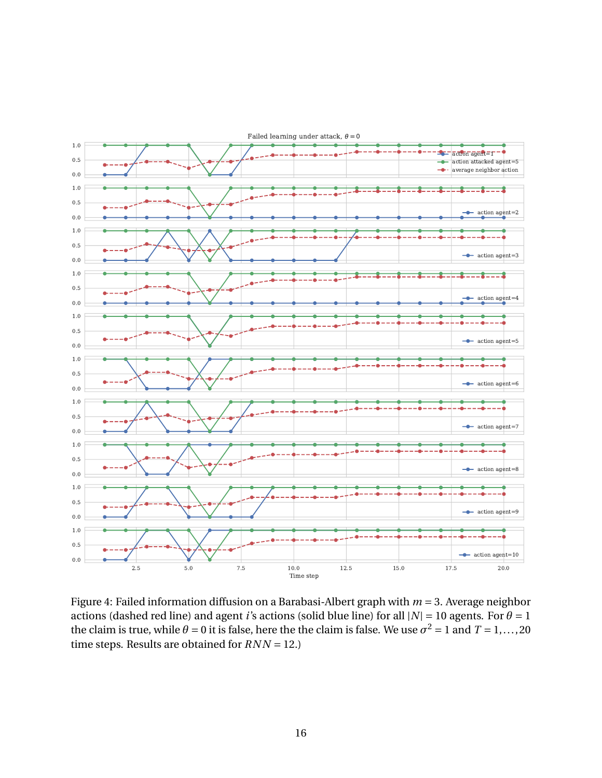<span id="page-16-0"></span>

Figure 4: Failed information diffusion on a Barabasi-Albert graph with *m* = 3. Average neighbor actions (dashed red line) and agent *i*'s actions (solid blue line) for all  $|N| = 10$  agents. For  $\theta = 1$ the claim is true, while  $\theta = 0$  it is false, here the the claim is false. We use  $\sigma^2 = 1$  and  $T = 1, \ldots, 20$ time steps. Results are obtained for  $RNN = 12$ .)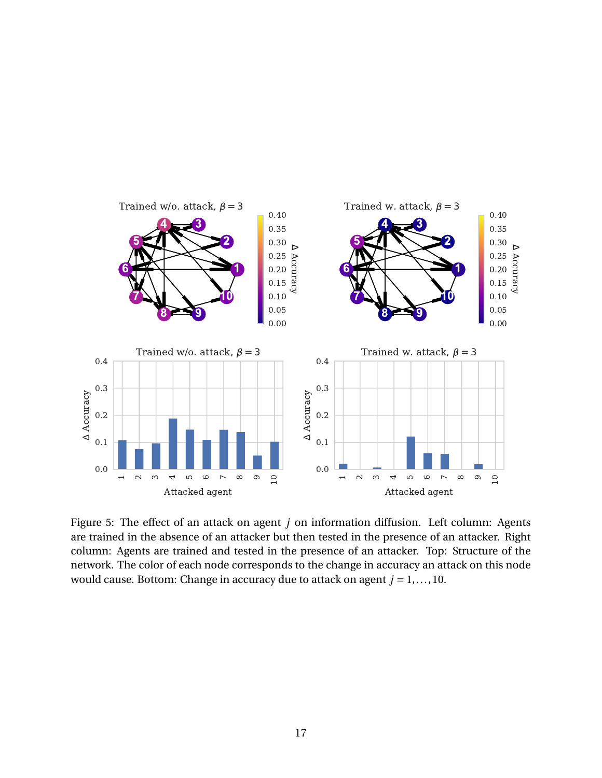<span id="page-17-0"></span>

Figure 5: The effect of an attack on agent *j* on information diffusion. Left column: Agents are trained in the absence of an attacker but then tested in the presence of an attacker. Right column: Agents are trained and tested in the presence of an attacker. Top: Structure of the network. The color of each node corresponds to the change in accuracy an attack on this node would cause. Bottom: Change in accuracy due to attack on agent *j* = 1,..., 10.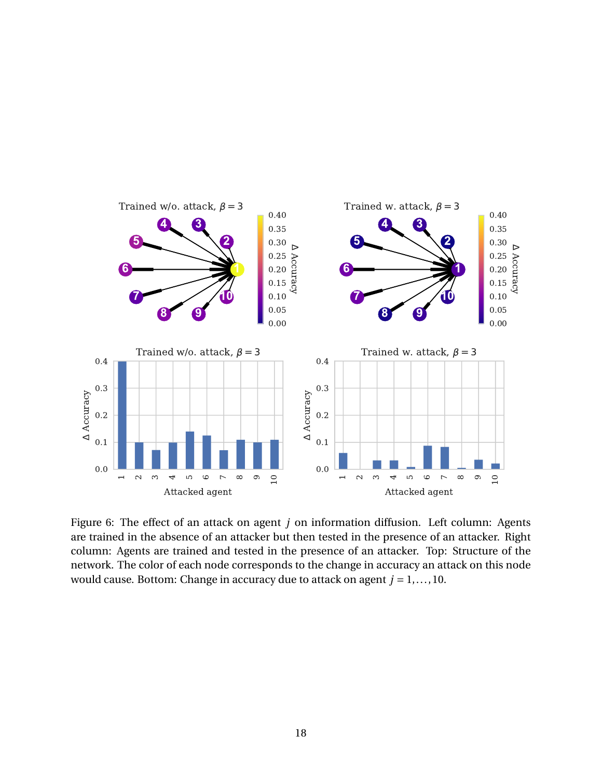<span id="page-18-0"></span>

Figure 6: The effect of an attack on agent *j* on information diffusion. Left column: Agents are trained in the absence of an attacker but then tested in the presence of an attacker. Right column: Agents are trained and tested in the presence of an attacker. Top: Structure of the network. The color of each node corresponds to the change in accuracy an attack on this node would cause. Bottom: Change in accuracy due to attack on agent *j* = 1,..., 10.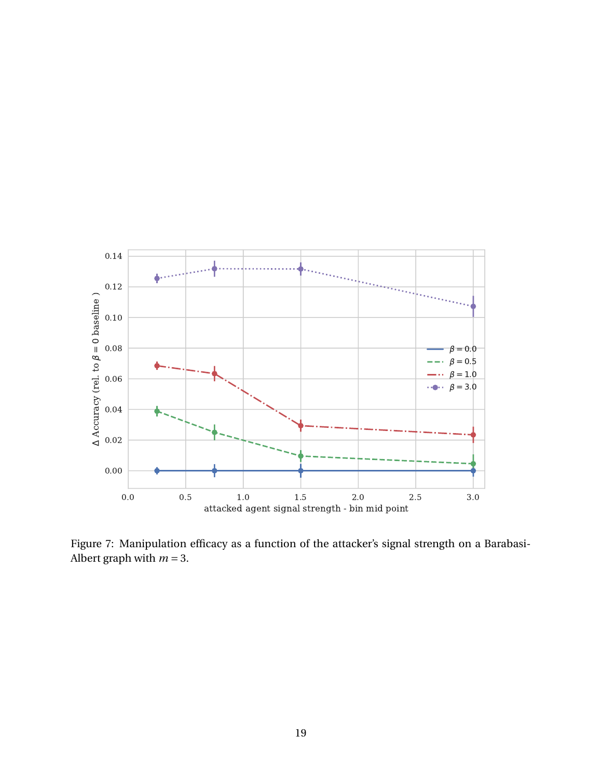<span id="page-19-0"></span>

Figure 7: Manipulation efficacy as a function of the attacker's signal strength on a Barabasi-Albert graph with  $m = 3$ .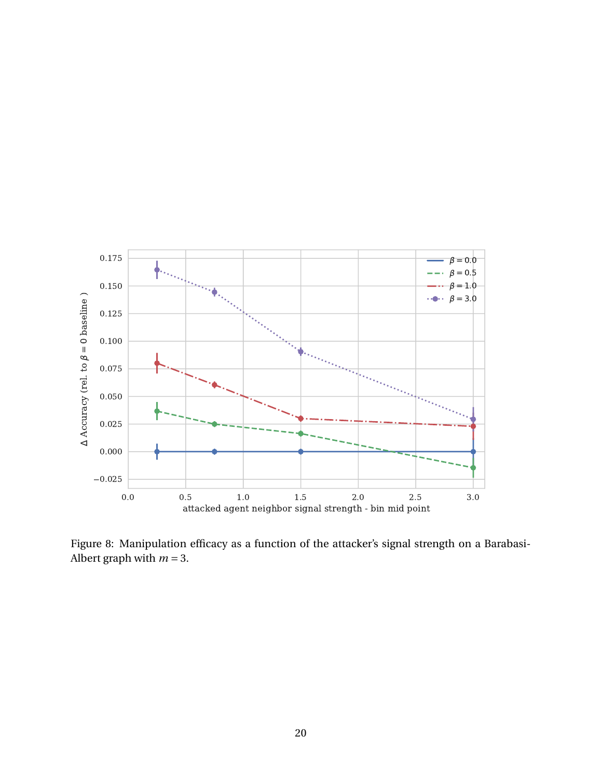<span id="page-20-0"></span>

Figure 8: Manipulation efficacy as a function of the attacker's signal strength on a Barabasi-Albert graph with  $m = 3$ .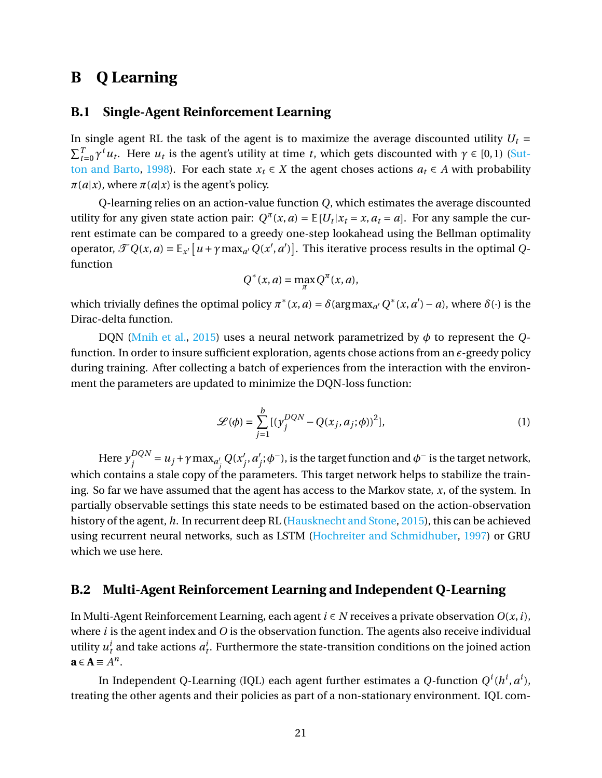### <span id="page-21-0"></span>**B Q Learning**

#### **B.1 Single-Agent Reinforcement Learning**

In single agent RL the task of the agent is to maximize the average discounted utility  $U_t$  =  $\sum_{t=0}^{T} \gamma^t u_t$ . Here  $u_t$  is the agent's utility at time *t*, which gets discounted with  $\gamma \in [0,1)$  [\(Sut](#page-12-3)[ton and Barto,](#page-12-3) [1998\)](#page-12-3). For each state  $x_t \in X$  the agent choses actions  $a_t \in A$  with probability  $\pi(a|x)$ , where  $\pi(a|x)$  is the agent's policy.

Q-learning relies on an action-value function *Q*, which estimates the average discounted utility for any given state action pair:  $Q^{\pi}(x, a) = \mathbb{E}[U_t | x_t = x, a_t = a]$ . For any sample the current estimate can be compared to a greedy one-step lookahead using the Bellman optimality operator,  $\mathcal{T}Q(x,a) = \mathbb{E}_{x'}[u + \gamma \max_{a'} Q(x',a')]$ . This iterative process results in the optimal *Q*function

$$
Q^*(x, a) = \max_{\pi} Q^{\pi}(x, a),
$$

which trivially defines the optimal policy  $\pi^*(x, a) = \delta(\argmax_{a'} Q^*(x, a') - a)$ , where  $\delta(\cdot)$  is the Dirac-delta function.

DQN [\(Mnih et al.,](#page-11-7) [2015\)](#page-11-7) uses a neural network parametrized by *φ* to represent the *Q*function. In order to insure sufficient exploration, agents chose actions from an  $\epsilon$ -greedy policy during training. After collecting a batch of experiences from the interaction with the environment the parameters are updated to minimize the DQN-loss function:

$$
\mathcal{L}(\phi) = \sum_{j=1}^{b} [(y_j^{DQN} - Q(x_j, a_j; \phi))^2],
$$
 (1)

Here  $y_i^{DQN}$  $j^{DQN} = u_j + \gamma \max_{a'}$  $Q(x_j)$  $'_{j}$ ,  $a'_{j}$  $\mathcal{U}_j^{\cdot}$ ; $\phi$ <sup>-</sup>), is the target function and  $\phi$ <sup>-</sup> is the target network, which contains a stale copy of the parameters. This target network helps to stabilize the training. So far we have assumed that the agent has access to the Markov state, *x*, of the system. In partially observable settings this state needs to be estimated based on the action-observation history of the agent, *h*. In recurrent deep RL [\(Hausknecht and Stone,](#page-11-8) [2015\)](#page-11-8), this can be achieved using recurrent neural networks, such as LSTM [\(Hochreiter and Schmidhuber,](#page-11-12) [1997\)](#page-11-12) or GRU which we use here.

#### **B.2 Multi-Agent Reinforcement Learning and Independent Q-Learning**

In Multi-Agent Reinforcement Learning, each agent *i* ∈ *N* receives a private observation *O*(*x*,*i*), where *i* is the agent index and *O* is the observation function. The agents also receive individual utility  $u_t^i$  and take actions  $a_t^i$ . Furthermore the state-transition conditions on the joined action  $\mathbf{a} \in \mathbf{A} \equiv A^n$ .

In Independent Q-Learning (IQL) each agent further estimates a Q-function  $Q^i(h^i,a^i)$ , treating the other agents and their policies as part of a non-stationary environment. IQL com-